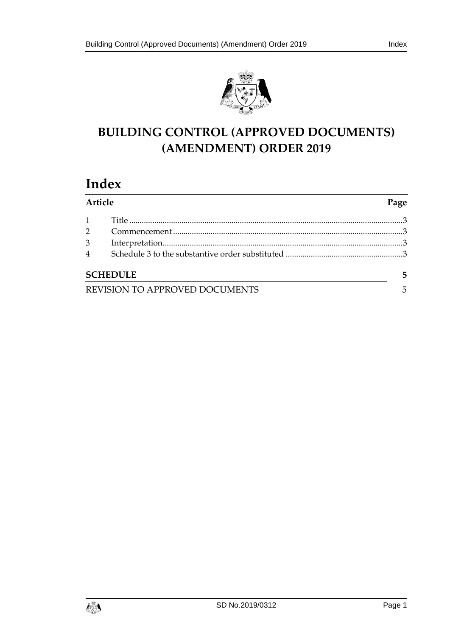

# **BUILDING CONTROL (APPROVED DOCUMENTS) (AMENDMENT) ORDER 2019**

# **Index**

| Article                        |  | Page |
|--------------------------------|--|------|
| 1                              |  |      |
| $2^{\circ}$                    |  |      |
| 3                              |  |      |
| $4\overline{ }$                |  |      |
| <b>SCHEDULE</b>                |  |      |
| REVISION TO APPROVED DOCUMENTS |  | 5    |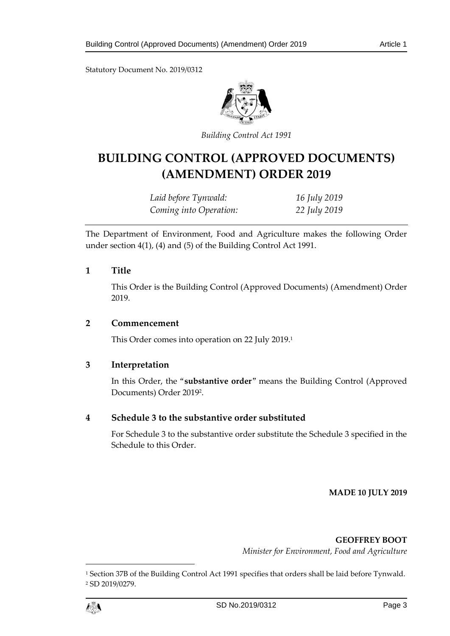Statutory Document No. 2019/0312



*Building Control Act 1991*

# **BUILDING CONTROL (APPROVED DOCUMENTS) (AMENDMENT) ORDER 2019**

| Laid before Tynwald:   | 16 July 2019 |
|------------------------|--------------|
| Coming into Operation: | 22 July 2019 |

The Department of Environment, Food and Agriculture makes the following Order under section 4(1), (4) and (5) of the Building Control Act 1991.

## <span id="page-2-0"></span>**1 Title**

This Order is the Building Control (Approved Documents) (Amendment) Order 2019.

#### <span id="page-2-1"></span>**2 Commencement**

This Order comes into operation on 22 July 2019. 1

## <span id="page-2-2"></span>**3 Interpretation**

In this Order, the "**substantive order**" means the Building Control (Approved Documents) Order 2019<sup>2</sup> .

## <span id="page-2-3"></span>**4 Schedule 3 to the substantive order substituted**

For Schedule 3 to the substantive order substitute the Schedule 3 specified in the Schedule to this Order.

**MADE 10 JULY 2019**

#### **GEOFFREY BOOT**

*Minister for Environment, Food and Agriculture*

 $\overline{a}$ 

<sup>1</sup> Section 37B of the Building Control Act 1991 specifies that orders shall be laid before Tynwald. <sup>2</sup> SD 2019/0279.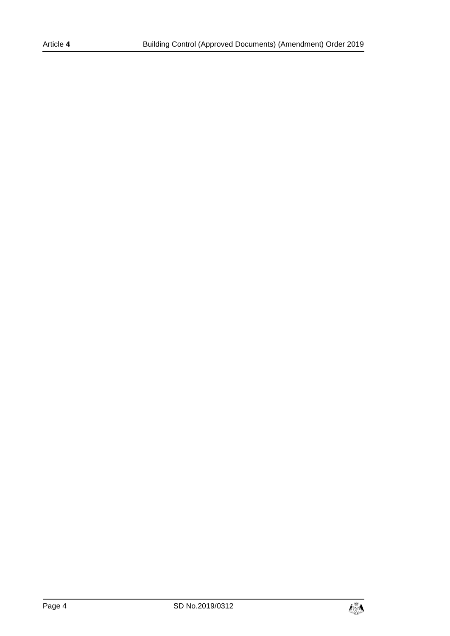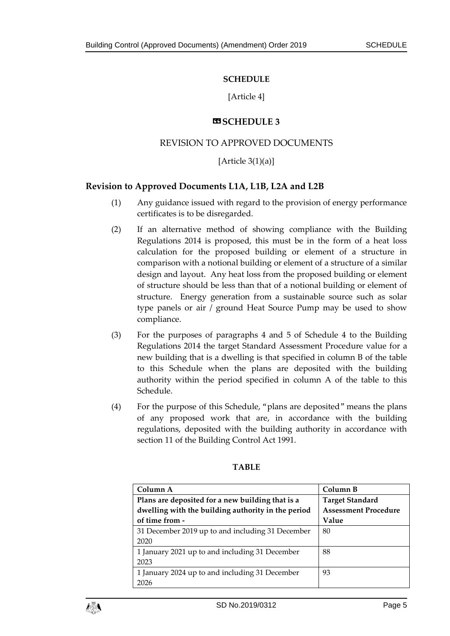#### **SCHEDULE**

[Article 4]

#### **«SCHEDULE 3**

### <span id="page-4-0"></span>REVISION TO APPROVED DOCUMENTS

#### [Article  $3(1)(a)$ ]

### <span id="page-4-1"></span>**Revision to Approved Documents L1A, L1B, L2A and L2B**

- (1) Any guidance issued with regard to the provision of energy performance certificates is to be disregarded.
- (2) If an alternative method of showing compliance with the Building Regulations 2014 is proposed, this must be in the form of a heat loss calculation for the proposed building or element of a structure in comparison with a notional building or element of a structure of a similar design and layout. Any heat loss from the proposed building or element of structure should be less than that of a notional building or element of structure. Energy generation from a sustainable source such as solar type panels or air / ground Heat Source Pump may be used to show compliance.
- (3) For the purposes of paragraphs 4 and 5 of Schedule 4 to the Building Regulations 2014 the target Standard Assessment Procedure value for a new building that is a dwelling is that specified in column B of the table to this Schedule when the plans are deposited with the building authority within the period specified in column A of the table to this Schedule.
- (4) For the purpose of this Schedule, "plans are deposited" means the plans of any proposed work that are, in accordance with the building regulations, deposited with the building authority in accordance with section 11 of the Building Control Act 1991.

| Column A                                           | Column B                    |
|----------------------------------------------------|-----------------------------|
| Plans are deposited for a new building that is a   | <b>Target Standard</b>      |
| dwelling with the building authority in the period | <b>Assessment Procedure</b> |
| of time from -                                     | Value                       |
| 31 December 2019 up to and including 31 December   | 80                          |
| 2020                                               |                             |
| 1 January 2021 up to and including 31 December     | 88                          |
| 2023                                               |                             |
| 1 January 2024 up to and including 31 December     | 93                          |
| 2026                                               |                             |

#### **TABLE**

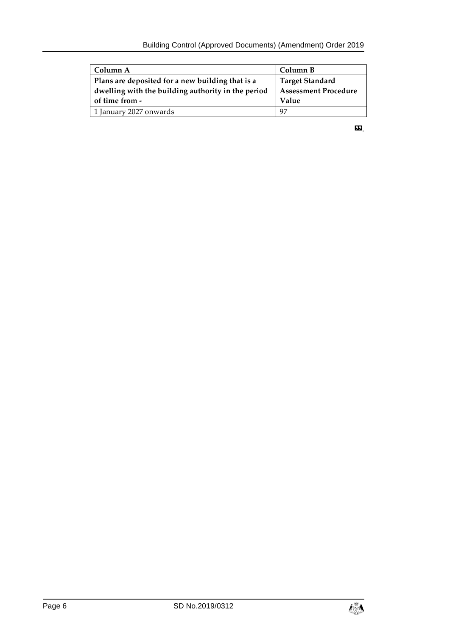| Column A                                           | Column B                    |
|----------------------------------------------------|-----------------------------|
|                                                    |                             |
| Plans are deposited for a new building that is a   | <b>Target Standard</b>      |
| dwelling with the building authority in the period | <b>Assessment Procedure</b> |
| of time from -                                     | <b>Value</b>                |
| 1 January 2027 onwards                             | 97                          |

».